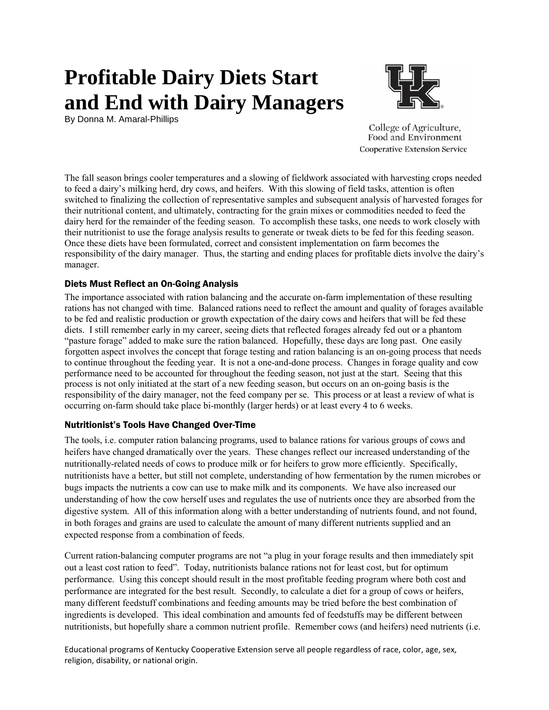# **Profitable Dairy Diets Start and End with Dairy Managers**

By Donna M. Amaral-Phillips



College of Agriculture, Food and Environment **Cooperative Extension Service** 

The fall season brings cooler temperatures and a slowing of fieldwork associated with harvesting crops needed to feed a dairy's milking herd, dry cows, and heifers. With this slowing of field tasks, attention is often switched to finalizing the collection of representative samples and subsequent analysis of harvested forages for their nutritional content, and ultimately, contracting for the grain mixes or commodities needed to feed the dairy herd for the remainder of the feeding season. To accomplish these tasks, one needs to work closely with their nutritionist to use the forage analysis results to generate or tweak diets to be fed for this feeding season. Once these diets have been formulated, correct and consistent implementation on farm becomes the responsibility of the dairy manager. Thus, the starting and ending places for profitable diets involve the dairy's manager.

## Diets Must Reflect an On-Going Analysis

The importance associated with ration balancing and the accurate on-farm implementation of these resulting rations has not changed with time. Balanced rations need to reflect the amount and quality of forages available to be fed and realistic production or growth expectation of the dairy cows and heifers that will be fed these diets. I still remember early in my career, seeing diets that reflected forages already fed out or a phantom "pasture forage" added to make sure the ration balanced. Hopefully, these days are long past. One easily forgotten aspect involves the concept that forage testing and ration balancing is an on-going process that needs to continue throughout the feeding year. It is not a one-and-done process. Changes in forage quality and cow performance need to be accounted for throughout the feeding season, not just at the start. Seeing that this process is not only initiated at the start of a new feeding season, but occurs on an on-going basis is the responsibility of the dairy manager, not the feed company per se. This process or at least a review of what is occurring on-farm should take place bi-monthly (larger herds) or at least every 4 to 6 weeks.

## Nutritionist's Tools Have Changed Over-Time

The tools, i.e. computer ration balancing programs, used to balance rations for various groups of cows and heifers have changed dramatically over the years. These changes reflect our increased understanding of the nutritionally-related needs of cows to produce milk or for heifers to grow more efficiently. Specifically, nutritionists have a better, but still not complete, understanding of how fermentation by the rumen microbes or bugs impacts the nutrients a cow can use to make milk and its components. We have also increased our understanding of how the cow herself uses and regulates the use of nutrients once they are absorbed from the digestive system. All of this information along with a better understanding of nutrients found, and not found, in both forages and grains are used to calculate the amount of many different nutrients supplied and an expected response from a combination of feeds.

Current ration-balancing computer programs are not "a plug in your forage results and then immediately spit out a least cost ration to feed". Today, nutritionists balance rations not for least cost, but for optimum performance. Using this concept should result in the most profitable feeding program where both cost and performance are integrated for the best result. Secondly, to calculate a diet for a group of cows or heifers, many different feedstuff combinations and feeding amounts may be tried before the best combination of ingredients is developed. This ideal combination and amounts fed of feedstuffs may be different between nutritionists, but hopefully share a common nutrient profile. Remember cows (and heifers) need nutrients (i.e.

Educational programs of Kentucky Cooperative Extension serve all people regardless of race, color, age, sex, religion, disability, or national origin.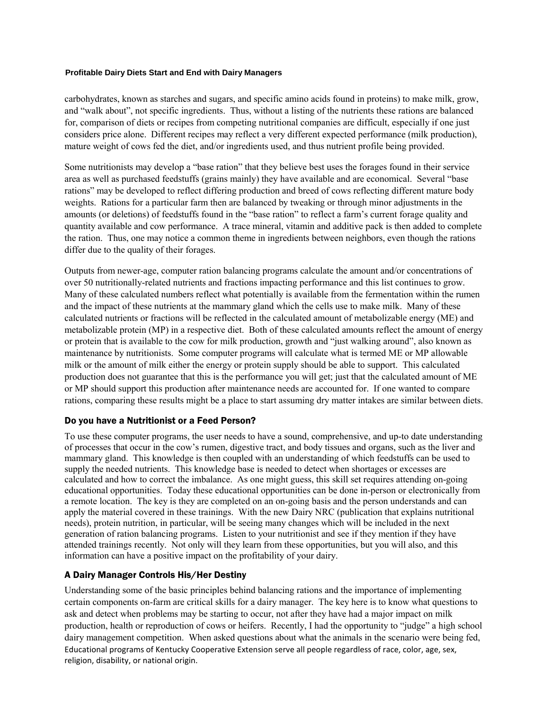#### **Profitable Dairy Diets Start and End with Dairy Managers**

carbohydrates, known as starches and sugars, and specific amino acids found in proteins) to make milk, grow, and "walk about", not specific ingredients. Thus, without a listing of the nutrients these rations are balanced for, comparison of diets or recipes from competing nutritional companies are difficult, especially if one just considers price alone. Different recipes may reflect a very different expected performance (milk production), mature weight of cows fed the diet, and/or ingredients used, and thus nutrient profile being provided.

Some nutritionists may develop a "base ration" that they believe best uses the forages found in their service area as well as purchased feedstuffs (grains mainly) they have available and are economical. Several "base rations" may be developed to reflect differing production and breed of cows reflecting different mature body weights. Rations for a particular farm then are balanced by tweaking or through minor adjustments in the amounts (or deletions) of feedstuffs found in the "base ration" to reflect a farm's current forage quality and quantity available and cow performance. A trace mineral, vitamin and additive pack is then added to complete the ration. Thus, one may notice a common theme in ingredients between neighbors, even though the rations differ due to the quality of their forages.

Outputs from newer-age, computer ration balancing programs calculate the amount and/or concentrations of over 50 nutritionally-related nutrients and fractions impacting performance and this list continues to grow. Many of these calculated numbers reflect what potentially is available from the fermentation within the rumen and the impact of these nutrients at the mammary gland which the cells use to make milk. Many of these calculated nutrients or fractions will be reflected in the calculated amount of metabolizable energy (ME) and metabolizable protein (MP) in a respective diet. Both of these calculated amounts reflect the amount of energy or protein that is available to the cow for milk production, growth and "just walking around", also known as maintenance by nutritionists. Some computer programs will calculate what is termed ME or MP allowable milk or the amount of milk either the energy or protein supply should be able to support. This calculated production does not guarantee that this is the performance you will get; just that the calculated amount of ME or MP should support this production after maintenance needs are accounted for. If one wanted to compare rations, comparing these results might be a place to start assuming dry matter intakes are similar between diets.

## Do you have a Nutritionist or a Feed Person?

To use these computer programs, the user needs to have a sound, comprehensive, and up-to date understanding of processes that occur in the cow's rumen, digestive tract, and body tissues and organs, such as the liver and mammary gland. This knowledge is then coupled with an understanding of which feedstuffs can be used to supply the needed nutrients. This knowledge base is needed to detect when shortages or excesses are calculated and how to correct the imbalance. As one might guess, this skill set requires attending on-going educational opportunities. Today these educational opportunities can be done in-person or electronically from a remote location. The key is they are completed on an on-going basis and the person understands and can apply the material covered in these trainings. With the new Dairy NRC (publication that explains nutritional needs), protein nutrition, in particular, will be seeing many changes which will be included in the next generation of ration balancing programs. Listen to your nutritionist and see if they mention if they have attended trainings recently. Not only will they learn from these opportunities, but you will also, and this information can have a positive impact on the profitability of your dairy.

## A Dairy Manager Controls His/Her Destiny

Educational programs of Kentucky Cooperative Extension serve all people regardless of race, color, age, sex, religion, disability, or national origin. Understanding some of the basic principles behind balancing rations and the importance of implementing certain components on-farm are critical skills for a dairy manager. The key here is to know what questions to ask and detect when problems may be starting to occur, not after they have had a major impact on milk production, health or reproduction of cows or heifers. Recently, I had the opportunity to "judge" a high school dairy management competition. When asked questions about what the animals in the scenario were being fed,